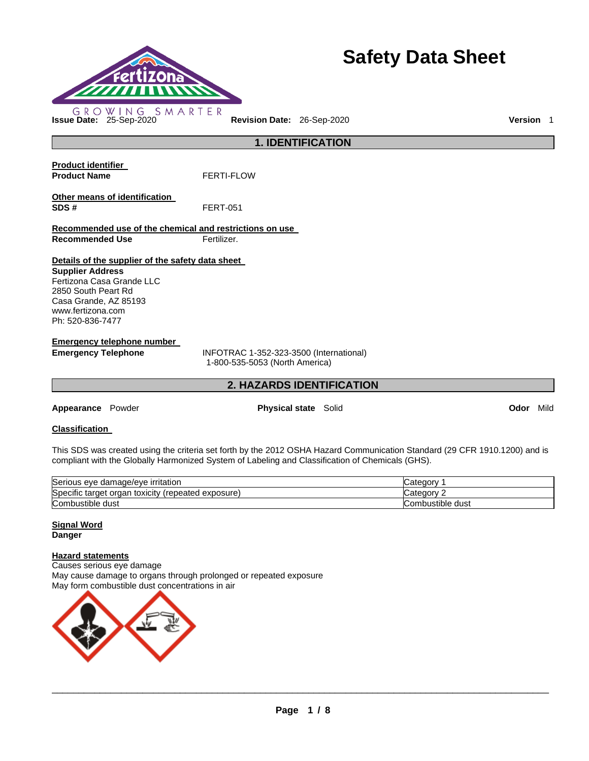

# **Safety Data Sheet**

**1. IDENTIFICATION** 

| <b>Product identifier</b>                               |                                |
|---------------------------------------------------------|--------------------------------|
| <b>Product Name</b>                                     | <b>FERTI-FLOW</b>              |
| Other means of identification                           |                                |
| SDS#                                                    | <b>FERT-051</b>                |
| Recommended use of the chemical and restrictions on use |                                |
| <b>Recommended Use</b>                                  | Fertilizer.                    |
| Details of the supplier of the safety data sheet        |                                |
| <b>Supplier Address</b>                                 |                                |
| Fertizona Casa Grande LLC                               |                                |
| 2850 South Peart Rd                                     |                                |
| Casa Grande, AZ 85193                                   |                                |
| www.fertizona.com                                       |                                |
| Ph: 520-836-7477                                        |                                |
| Emergency telephone number                              |                                |
| <b>Emergency Telephone</b>                              | INFOTRAC 1-352-323-3500 (Inter |

national) 1-800-535-5053 (North America)

### **2. HAZARDS IDENTIFICATION**

**Appearance** Powder **Physical state** Solid **Odor** Mild

### **Classification**

This SDS was created using the criteria set forth by the 2012 OSHA Hazard Communication Standard (29 CFR 1910.1200) and is compliant with the Globally Harmonized System of Labeling and Classification of Chemicals (GHS).

| Serious eye damage/eye irritation                           | ategor آب        |
|-------------------------------------------------------------|------------------|
| Specific target<br>(repeated exposure)<br>toxicity<br>organ | 'ategorب .       |
| Combustible<br>dust                                         | Combustible dust |

### **Signal Word Danger**

### **Hazard statements**

Causes serious eye damage May cause damage to organs through prolonged or repeated exposure May form combustible dust concentrations in air

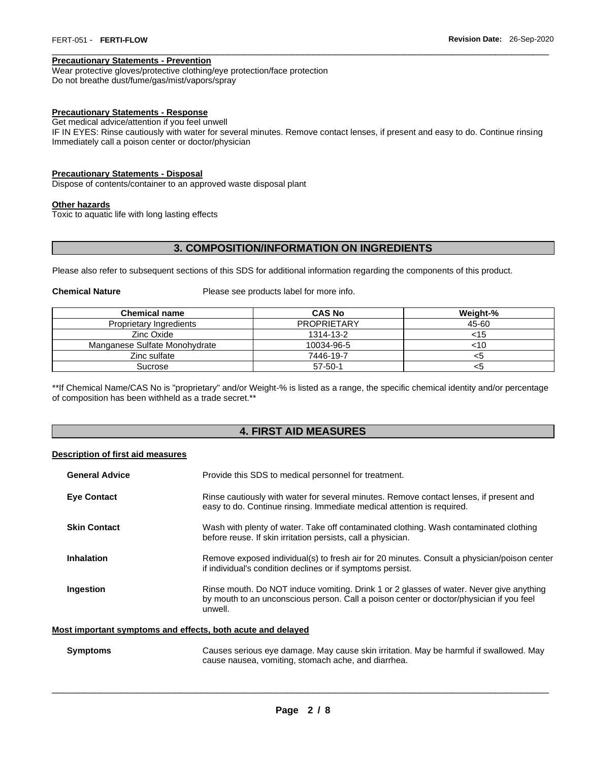#### **Precautionary Statements - Prevention**

Wear protective gloves/protective clothing/eye protection/face protection Do not breathe dust/fume/gas/mist/vapors/spray

#### **Precautionary Statements - Response**

Get medical advice/attention if you feel unwell

IF IN EYES: Rinse cautiously with water for several minutes. Remove contact lenses, if present and easy to do. Continue rinsing Immediately call a poison center or doctor/physician

\_\_\_\_\_\_\_\_\_\_\_\_\_\_\_\_\_\_\_\_\_\_\_\_\_\_\_\_\_\_\_\_\_\_\_\_\_\_\_\_\_\_\_\_\_\_\_\_\_\_\_\_\_\_\_\_\_\_\_\_\_\_\_\_\_\_\_\_\_\_\_\_\_\_\_\_\_\_\_\_\_\_\_\_\_\_\_\_\_\_\_\_\_

### **Precautionary Statements - Disposal**

Dispose of contents/container to an approved waste disposal plant

#### **Other hazards**

Toxic to aquatic life with long lasting effects

### **3. COMPOSITION/INFORMATION ON INGREDIENTS**

Please also refer to subsequent sections of this SDS for additional information regarding the components of this product.

**Chemical Nature Please see products label for more info.** 

| <b>Chemical name</b>          | <b>CAS No</b>      | Weight-% |
|-------------------------------|--------------------|----------|
| Proprietary Ingredients       | <b>PROPRIETARY</b> | 45-60    |
| Zinc Oxide                    | 1314-13-2          | <15      |
| Manganese Sulfate Monohydrate | 10034-96-5         | <10      |
| Zinc sulfate                  | 7446-19-7          | <5       |
| Sucrose                       | $57 - 50 - 1$      | <5       |

\*\*If Chemical Name/CAS No is "proprietary" and/or Weight-% is listed as a range, the specific chemical identity and/or percentage of composition has been withheld as a trade secret.\*\*

### **4. FIRST AID MEASURES**

### **Description of first aid measures**

| <b>General Advice</b> | Provide this SDS to medical personnel for treatment.                                                                                                                                          |
|-----------------------|-----------------------------------------------------------------------------------------------------------------------------------------------------------------------------------------------|
| <b>Eye Contact</b>    | Rinse cautiously with water for several minutes. Remove contact lenses, if present and<br>easy to do. Continue rinsing. Immediate medical attention is required.                              |
| <b>Skin Contact</b>   | Wash with plenty of water. Take off contaminated clothing. Wash contaminated clothing<br>before reuse. If skin irritation persists, call a physician.                                         |
| Inhalation            | Remove exposed individual(s) to fresh air for 20 minutes. Consult a physician/poison center<br>if individual's condition declines or if symptoms persist.                                     |
| Ingestion             | Rinse mouth. Do NOT induce vomiting. Drink 1 or 2 glasses of water. Never give anything<br>by mouth to an unconscious person. Call a poison center or doctor/physician if you feel<br>unwell. |

### **Most important symptoms and effects, both acute and delayed**

| <b>Symptoms</b> | Causes serious eye damage. May cause skin irritation. May be harmful if swallowed. May |
|-----------------|----------------------------------------------------------------------------------------|
|                 | cause nausea, vomiting, stomach ache, and diarrhea.                                    |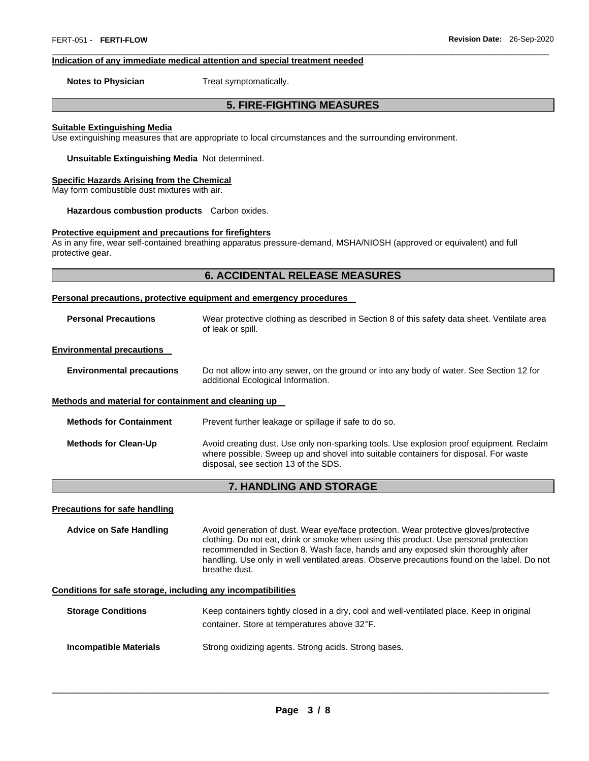#### **Indication of any immediate medical attention and special treatment needed**

**Notes to Physician**  Treat symptomatically.

### **5. FIRE-FIGHTING MEASURES**

\_\_\_\_\_\_\_\_\_\_\_\_\_\_\_\_\_\_\_\_\_\_\_\_\_\_\_\_\_\_\_\_\_\_\_\_\_\_\_\_\_\_\_\_\_\_\_\_\_\_\_\_\_\_\_\_\_\_\_\_\_\_\_\_\_\_\_\_\_\_\_\_\_\_\_\_\_\_\_\_\_\_\_\_\_\_\_\_\_\_\_\_\_

#### **Suitable Extinguishing Media**

Use extinguishing measures that are appropriate to local circumstances and the surrounding environment.

**Unsuitable Extinguishing Media** Not determined.

#### **Specific Hazards Arising from the Chemical**

May form combustible dust mixtures with air.

**Hazardous combustion products** Carbon oxides.

#### **Protective equipment and precautions for firefighters**

As in any fire, wear self-contained breathing apparatus pressure-demand, MSHA/NIOSH (approved or equivalent) and full protective gear.

### **6. ACCIDENTAL RELEASE MEASURES**

#### **Personal precautions, protective equipment and emergency procedures**

| <b>Personal Precautions</b>                          | Wear protective clothing as described in Section 8 of this safety data sheet. Ventilate area<br>of leak or spill.              |  |
|------------------------------------------------------|--------------------------------------------------------------------------------------------------------------------------------|--|
| <b>Environmental precautions</b>                     |                                                                                                                                |  |
| <b>Environmental precautions</b>                     | Do not allow into any sewer, on the ground or into any body of water. See Section 12 for<br>additional Ecological Information. |  |
| Methods and material for containment and cleaning up |                                                                                                                                |  |
| <b>Methods for Containment</b>                       | Prevent further leakage or spillage if safe to do so.                                                                          |  |

| <b>Methods for Clean-Up</b> | Avoid creating dust. Use only non-sparking tools. Use explosion proof equipment. Reclaim |
|-----------------------------|------------------------------------------------------------------------------------------|
|                             | where possible. Sweep up and shovel into suitable containers for disposal. For waste     |
|                             | disposal, see section 13 of the SDS.                                                     |

### **7. HANDLING AND STORAGE**

#### **Precautions for safe handling**

**Advice on Safe Handling** Avoid generation of dust. Wear eye/face protection. Wear protective gloves/protective clothing. Do not eat, drink or smoke when using this product. Use personal protection recommended in Section 8. Wash face, hands and any exposed skin thoroughly after handling. Use only in well ventilated areas. Observe precautions found on the label. Do not breathe dust.

### **Conditions for safe storage, including any incompatibilities**

| <b>Storage Conditions</b> | Keep containers tightly closed in a dry, cool and well-ventilated place. Keep in original |
|---------------------------|-------------------------------------------------------------------------------------------|
|                           | container. Store at temperatures above 32°F.                                              |

**Incompatible Materials Strong oxidizing agents. Strong acids. Strong bases.**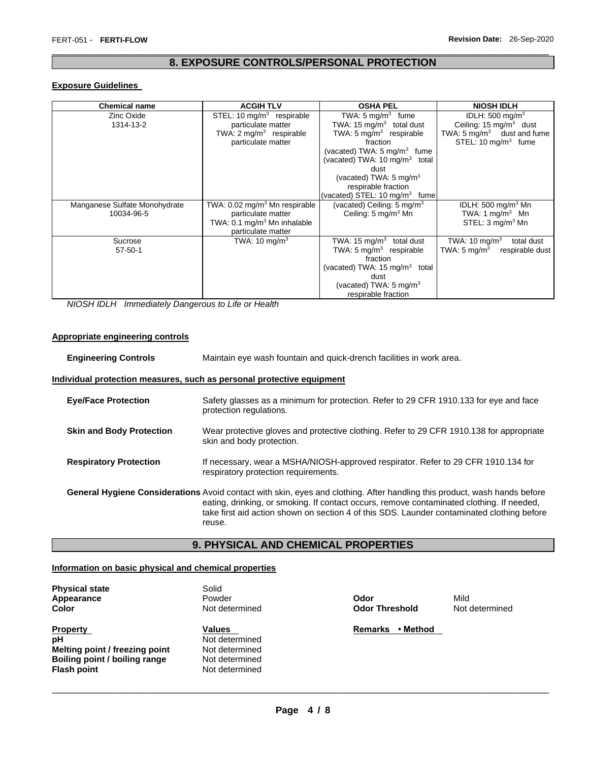### \_\_\_\_\_\_\_\_\_\_\_\_\_\_\_\_\_\_\_\_\_\_\_\_\_\_\_\_\_\_\_\_\_\_\_\_\_\_\_\_\_\_\_\_\_\_\_\_\_\_\_\_\_\_\_\_\_\_\_\_\_\_\_\_\_\_\_\_\_\_\_\_\_\_\_\_\_\_\_\_\_\_\_\_\_\_\_\_\_\_\_\_\_ **8. EXPOSURE CONTROLS/PERSONAL PROTECTION**

### **Exposure Guidelines**

| <b>Chemical name</b>          | <b>ACGIH TLV</b>                          | <b>OSHA PEL</b>                           | <b>NIOSH IDLH</b>                     |
|-------------------------------|-------------------------------------------|-------------------------------------------|---------------------------------------|
| Zinc Oxide                    | STEL: 10 mg/m <sup>3</sup> respirable     | TWA: $5 \text{ mg/m}^3$ fume              | IDLH: $500 \text{ mg/m}^3$            |
| 1314-13-2                     | particulate matter                        | TWA: 15 $mq/m3$ total dust                | Ceiling: $15 \text{ mg/m}^3$ dust     |
|                               | TWA: $2 \text{ mg/m}^3$ respirable        | TWA: $5 \text{ mg/m}^3$ respirable        | TWA: $5 \text{ mg/m}^3$ dust and fume |
|                               | particulate matter                        | fraction                                  | STEL: $10 \text{ mg/m}^3$ fume        |
|                               |                                           | (vacated) TWA: $5 \text{ mg/m}^3$ fume    |                                       |
|                               |                                           | (vacated) TWA: 10 mg/m <sup>3</sup> total |                                       |
|                               |                                           | dust                                      |                                       |
|                               |                                           | (vacated) TWA: $5 \text{ mg/m}^3$         |                                       |
|                               |                                           | respirable fraction                       |                                       |
|                               |                                           | (vacated) STEL: 10 mg/m <sup>3</sup> fume |                                       |
| Manganese Sulfate Monohydrate | TWA: 0.02 mg/m <sup>3</sup> Mn respirable | (vacated) Ceiling: $5 \text{ mg/m}^3$     | IDLH: 500 mg/m $3$ Mn                 |
| 10034-96-5                    | particulate matter                        | Ceiling: $5 \text{ mg/m}^3 \text{ Mn}$    | TWA: 1 mg/m <sup>3</sup> Mn           |
|                               | TWA: 0.1 mg/m <sup>3</sup> Mn inhalable   |                                           | STEL: $3 \text{ mq/m}^3$ Mn           |
|                               | particulate matter                        |                                           |                                       |
| Sucrose                       | TWA: $10 \text{ mg/m}^3$                  | TWA: 15 mg/m <sup>3</sup> total dust      | TWA: 10 mg/m $3$<br>total dust        |
| $57 - 50 - 1$                 |                                           | TWA: $5 \text{ mg/m}^3$ respirable        | TWA: 5 mg/m $^3$<br>respirable dust   |
|                               |                                           | fraction                                  |                                       |
|                               |                                           | (vacated) TWA: 15 mg/m <sup>3</sup> total |                                       |
|                               |                                           | dust                                      |                                       |
|                               |                                           | (vacated) TWA: $5 \text{ mg/m}^3$         |                                       |
|                               |                                           | respirable fraction                       |                                       |

*NIOSH IDLH Immediately Dangerous to Life or Health* 

### **Appropriate engineering controls**

| <b>Engineering Controls</b>     | Maintain eye wash fountain and quick-drench facilities in work area.                                                                                                                                                                                                                                                           |
|---------------------------------|--------------------------------------------------------------------------------------------------------------------------------------------------------------------------------------------------------------------------------------------------------------------------------------------------------------------------------|
|                                 | Individual protection measures, such as personal protective equipment                                                                                                                                                                                                                                                          |
| <b>Eve/Face Protection</b>      | Safety glasses as a minimum for protection. Refer to 29 CFR 1910.133 for eye and face<br>protection regulations.                                                                                                                                                                                                               |
| <b>Skin and Body Protection</b> | Wear protective gloves and protective clothing. Refer to 29 CFR 1910.138 for appropriate<br>skin and body protection.                                                                                                                                                                                                          |
| <b>Respiratory Protection</b>   | If necessary, wear a MSHA/NIOSH-approved respirator. Refer to 29 CFR 1910.134 for<br>respiratory protection requirements.                                                                                                                                                                                                      |
|                                 | General Hygiene Considerations Avoid contact with skin, eyes and clothing. After handling this product, wash hands before<br>eating, drinking, or smoking. If contact occurs, remove contaminated clothing. If needed,<br>take first aid action shown on section 4 of this SDS. Launder contaminated clothing before<br>reuse. |

### **9. PHYSICAL AND CHEMICAL PROPERTIES**

### **Information on basic physical and chemical properties**

| <b>Physical state</b>          | Solid          |                            |       |
|--------------------------------|----------------|----------------------------|-------|
| Appearance                     | Powder         | Odor                       | Mild  |
| Color                          | Not determined | <b>Odor Threshold</b>      | Not o |
| <b>Property</b>                | <b>Values</b>  | • Method<br><b>Remarks</b> |       |
| рH                             | Not determined |                            |       |
| Melting point / freezing point | Not determined |                            |       |
| Boiling point / boiling range  | Not determined |                            |       |
| <b>Flash point</b>             | Not determined |                            |       |

**Odor Threshold Not determined**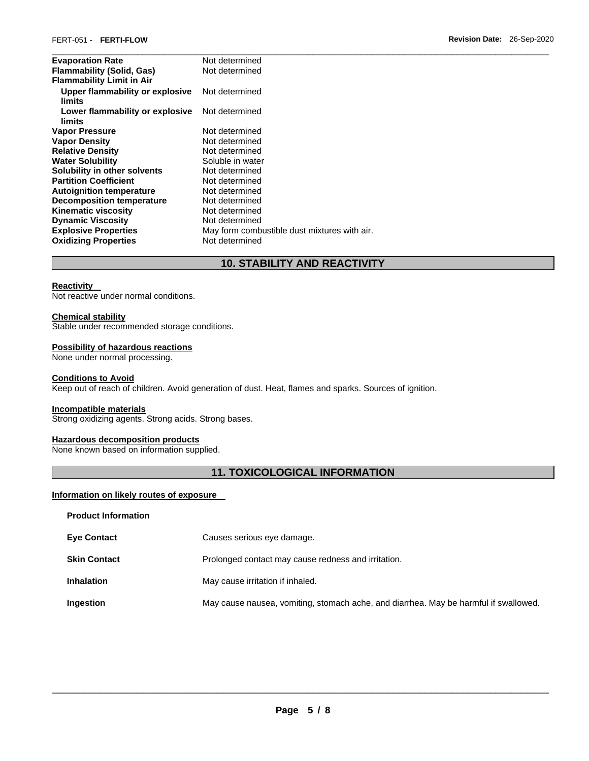| <b>Evaporation Rate</b>                   | Not determined                               |
|-------------------------------------------|----------------------------------------------|
| <b>Flammability (Solid, Gas)</b>          | Not determined                               |
| <b>Flammability Limit in Air</b>          |                                              |
| Upper flammability or explosive<br>limits | Not determined                               |
| Lower flammability or explosive<br>limits | Not determined                               |
| <b>Vapor Pressure</b>                     | Not determined                               |
| <b>Vapor Density</b>                      | Not determined                               |
| <b>Relative Density</b>                   | Not determined                               |
| <b>Water Solubility</b>                   | Soluble in water                             |
| Solubility in other solvents              | Not determined                               |
| <b>Partition Coefficient</b>              | Not determined                               |
| <b>Autoignition temperature</b>           | Not determined                               |
| Decomposition temperature                 | Not determined                               |
| <b>Kinematic viscosity</b>                | Not determined                               |
| <b>Dynamic Viscosity</b>                  | Not determined                               |
| <b>Explosive Properties</b>               | May form combustible dust mixtures with air. |
| <b>Oxidizing Properties</b>               | Not determined                               |

### **10. STABILITY AND REACTIVITY**

### **Reactivity**

Not reactive under normal conditions.

### **Chemical stability**

Stable under recommended storage conditions.

### **Possibility of hazardous reactions**

None under normal processing.

### **Conditions to Avoid**

Keep out of reach of children. Avoid generation of dust. Heat, flames and sparks. Sources of ignition.

### **Incompatible materials**

Strong oxidizing agents. Strong acids. Strong bases.

### **Hazardous decomposition products**

None known based on information supplied.

## **11. TOXICOLOGICAL INFORMATION**

### **Information on likely routes of exposure**

| <b>Product Information</b> |                                                                                      |
|----------------------------|--------------------------------------------------------------------------------------|
| <b>Eye Contact</b>         | Causes serious eye damage.                                                           |
| <b>Skin Contact</b>        | Prolonged contact may cause redness and irritation.                                  |
| <b>Inhalation</b>          | May cause irritation if inhaled.                                                     |
| Ingestion                  | May cause nausea, vomiting, stomach ache, and diarrhea. May be harmful if swallowed. |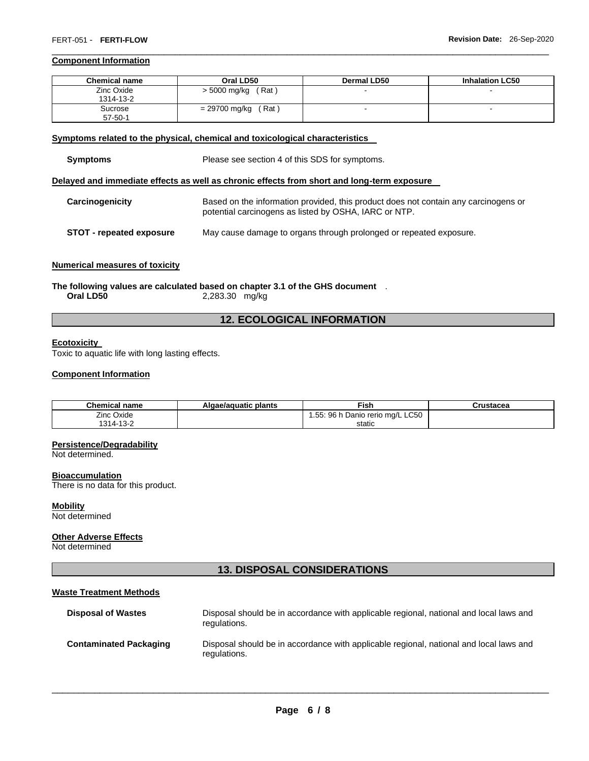### **Component Information**

| <b>Chemical name</b> | Oral LD50              | <b>Dermal LD50</b> | <b>Inhalation LC50</b> |
|----------------------|------------------------|--------------------|------------------------|
| Zinc Oxide           | > 5000 mg/kg<br>(Rat)  |                    |                        |
| 1314-13-2            |                        |                    |                        |
| Sucrose              | (Rat)<br>= 29700 mg/kg |                    |                        |
| $57 - 50 - 1$        |                        |                    |                        |

\_\_\_\_\_\_\_\_\_\_\_\_\_\_\_\_\_\_\_\_\_\_\_\_\_\_\_\_\_\_\_\_\_\_\_\_\_\_\_\_\_\_\_\_\_\_\_\_\_\_\_\_\_\_\_\_\_\_\_\_\_\_\_\_\_\_\_\_\_\_\_\_\_\_\_\_\_\_\_\_\_\_\_\_\_\_\_\_\_\_\_\_\_

### **Symptoms related to the physical, chemical and toxicological characteristics**

| <b>Symptoms</b> | Please see section 4 of this SDS for symptoms.                                                                                               |  |  |  |
|-----------------|----------------------------------------------------------------------------------------------------------------------------------------------|--|--|--|
|                 | Delayed and immediate effects as well as chronic effects from short and long-term exposure                                                   |  |  |  |
| Carcinogenicity | Based on the information provided, this product does not contain any carcinogens or<br>potential carcinogens as listed by OSHA, IARC or NTP. |  |  |  |

### **STOT - repeated exposure** May cause damage to organs through prolonged or repeated exposure.

### **Numerical measures of toxicity**

**The following values are calculated based on chapter 3.1 of the GHS document** . **Oral LD50** 2,283.30 mg/kg

### **12. ECOLOGICAL INFORMATION**

### **Ecotoxicity**

Toxic to aquatic life with long lasting effects.

### **Component Information**

| <b>Chemical name</b> | Algae/aguatic plants | Fish                             | Crustacea |
|----------------------|----------------------|----------------------------------|-----------|
| Zinc Oxide           |                      | 1.55: 96 h Danio rerio mg/L LC50 |           |
| 1314-13-2            |                      | static                           |           |

### **Persistence/Degradability**

Not determined.

### **Bioaccumulation**

There is no data for this product.

#### **Mobility** Not determined

### **Other Adverse Effects**

Not determined

### **13. DISPOSAL CONSIDERATIONS**

### **Waste Treatment Methods**

| <b>Disposal of Wastes</b>     | Disposal should be in accordance with applicable regional, national and local laws and<br>regulations. |
|-------------------------------|--------------------------------------------------------------------------------------------------------|
| <b>Contaminated Packaging</b> | Disposal should be in accordance with applicable regional, national and local laws and<br>regulations. |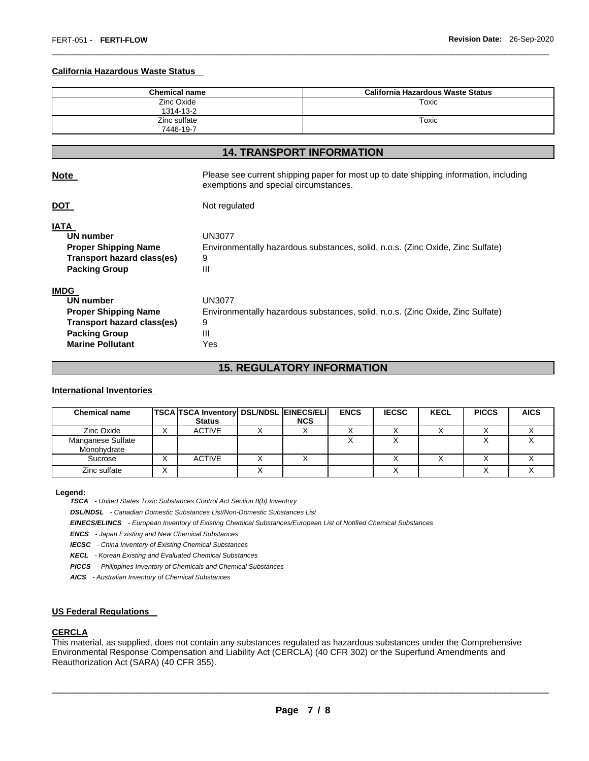#### **California Hazardous Waste Status**

| <b>Chemical name</b>      | California Hazardous Waste Status |
|---------------------------|-----------------------------------|
| Zinc Oxide<br>1314-13-2   | Toxic                             |
| Zinc sulfate<br>7446-19-7 | Toxic                             |

\_\_\_\_\_\_\_\_\_\_\_\_\_\_\_\_\_\_\_\_\_\_\_\_\_\_\_\_\_\_\_\_\_\_\_\_\_\_\_\_\_\_\_\_\_\_\_\_\_\_\_\_\_\_\_\_\_\_\_\_\_\_\_\_\_\_\_\_\_\_\_\_\_\_\_\_\_\_\_\_\_\_\_\_\_\_\_\_\_\_\_\_\_

### **14. TRANSPORT INFORMATION**

| <b>Note</b> | Please see current shipping paper for most up to date shipping information, including |  |
|-------------|---------------------------------------------------------------------------------------|--|
|             | exemptions and special circumstances.                                                 |  |

**DOT** Not regulated

### **IATA**

| INIM                        |                                                                                |
|-----------------------------|--------------------------------------------------------------------------------|
| UN number                   | UN3077                                                                         |
| <b>Proper Shipping Name</b> | Environmentally hazardous substances, solid, n.o.s. (Zinc Oxide, Zinc Sulfate) |
| Transport hazard class(es)  | 9                                                                              |
| <b>Packing Group</b>        | Ш                                                                              |
| <b>IMDG</b>                 |                                                                                |
| UN number                   | UN3077                                                                         |
|                             |                                                                                |

| UN number                  | UN3077                                                                         |
|----------------------------|--------------------------------------------------------------------------------|
| Proper Shipping Name       | Environmentally hazardous substances, solid, n.o.s. (Zinc Oxide, Zinc Sulfate) |
| Transport hazard class(es) | 9                                                                              |
| Packing Group              | Ш                                                                              |
| <b>Marine Pollutant</b>    | Yes                                                                            |
|                            |                                                                                |

### **15. REGULATORY INFORMATION**

#### **International Inventories**

| <b>Chemical name</b>             | <b>TSCA TSCA Inventory DSL/NDSL EINECS/ELI</b><br><b>Status</b> | <b>NCS</b> | <b>ENCS</b> | <b>IECSC</b> | <b>KECL</b> | <b>PICCS</b> | <b>AICS</b> |
|----------------------------------|-----------------------------------------------------------------|------------|-------------|--------------|-------------|--------------|-------------|
| Zinc Oxide                       | <b>ACTIVE</b>                                                   |            |             |              |             |              |             |
| Manganese Sulfate<br>Monohydrate |                                                                 |            |             |              |             |              |             |
| Sucrose                          | <b>ACTIVE</b>                                                   |            |             |              |             |              |             |
| Zinc sulfate                     |                                                                 |            |             |              |             |              |             |

#### **Legend:**

*TSCA - United States Toxic Substances Control Act Section 8(b) Inventory* 

*DSL/NDSL - Canadian Domestic Substances List/Non-Domestic Substances List* 

*EINECS/ELINCS - European Inventory of Existing Chemical Substances/European List of Notified Chemical Substances* 

*ENCS - Japan Existing and New Chemical Substances* 

*IECSC - China Inventory of Existing Chemical Substances* 

*KECL - Korean Existing and Evaluated Chemical Substances* 

*PICCS - Philippines Inventory of Chemicals and Chemical Substances* 

*AICS - Australian Inventory of Chemical Substances* 

#### **US Federal Regulations**

### **CERCLA**

This material, as supplied, does not contain any substances regulated as hazardous substances under the Comprehensive Environmental Response Compensation and Liability Act (CERCLA) (40 CFR 302) or the Superfund Amendments and Reauthorization Act (SARA) (40 CFR 355).